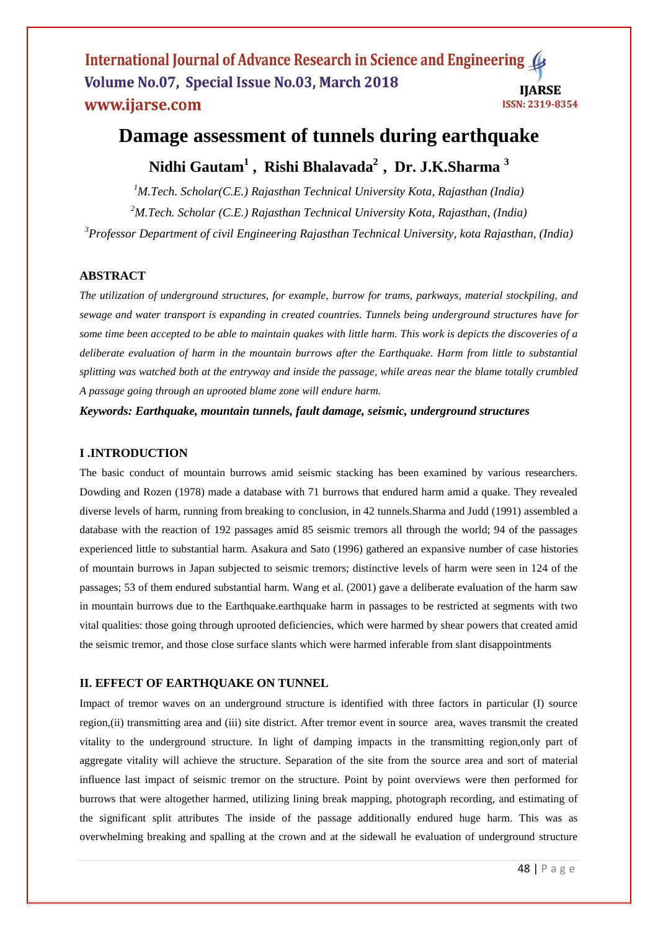# **Damage assessment of tunnels during earthquake Nidhi Gautam<sup>1</sup> , Rishi Bhalavada<sup>2</sup> , Dr. J.K.Sharma <sup>3</sup>**

*<sup>1</sup>M.Tech. Scholar(C.E.) Rajasthan Technical University Kota, Rajasthan (India) <sup>2</sup>M.Tech. Scholar (C.E.) Rajasthan Technical University Kota, Rajasthan, (India) <sup>3</sup>Professor Department of civil Engineering Rajasthan Technical University, kota Rajasthan, (India)*

# **ABSTRACT**

*The utilization of underground structures, for example, burrow for trams, parkways, material stockpiling, and sewage and water transport is expanding in created countries. Tunnels being underground structures have for some time been accepted to be able to maintain quakes with little harm. This work is depicts the discoveries of a deliberate evaluation of harm in the mountain burrows after the Earthquake. Harm from little to substantial splitting was watched both at the entryway and inside the passage, while areas near the blame totally crumbled A passage going through an uprooted blame zone will endure harm.*

*Keywords: Earthquake, mountain tunnels, fault damage, seismic, underground structures*

#### **I .INTRODUCTION**

The basic conduct of mountain burrows amid seismic stacking has been examined by various researchers. Dowding and Rozen (1978) made a database with 71 burrows that endured harm amid a quake. They revealed diverse levels of harm, running from breaking to conclusion, in 42 tunnels.Sharma and Judd (1991) assembled a database with the reaction of 192 passages amid 85 seismic tremors all through the world; 94 of the passages experienced little to substantial harm. Asakura and Sato (1996) gathered an expansive number of case histories of mountain burrows in Japan subjected to seismic tremors; distinctive levels of harm were seen in 124 of the passages; 53 of them endured substantial harm. Wang et al. (2001) gave a deliberate evaluation of the harm saw in mountain burrows due to the Earthquake.earthquake harm in passages to be restricted at segments with two vital qualities: those going through uprooted deficiencies, which were harmed by shear powers that created amid the seismic tremor, and those close surface slants which were harmed inferable from slant disappointments

## **II. EFFECT OF EARTHQUAKE ON TUNNEL**

Impact of tremor waves on an underground structure is identified with three factors in particular (I) source region,(ii) transmitting area and (iii) site district. After tremor event in source area, waves transmit the created vitality to the underground structure. In light of damping impacts in the transmitting region,only part of aggregate vitality will achieve the structure. Separation of the site from the source area and sort of material influence last impact of seismic tremor on the structure. Point by point overviews were then performed for burrows that were altogether harmed, utilizing lining break mapping, photograph recording, and estimating of the significant split attributes The inside of the passage additionally endured huge harm. This was as overwhelming breaking and spalling at the crown and at the sidewall he evaluation of underground structure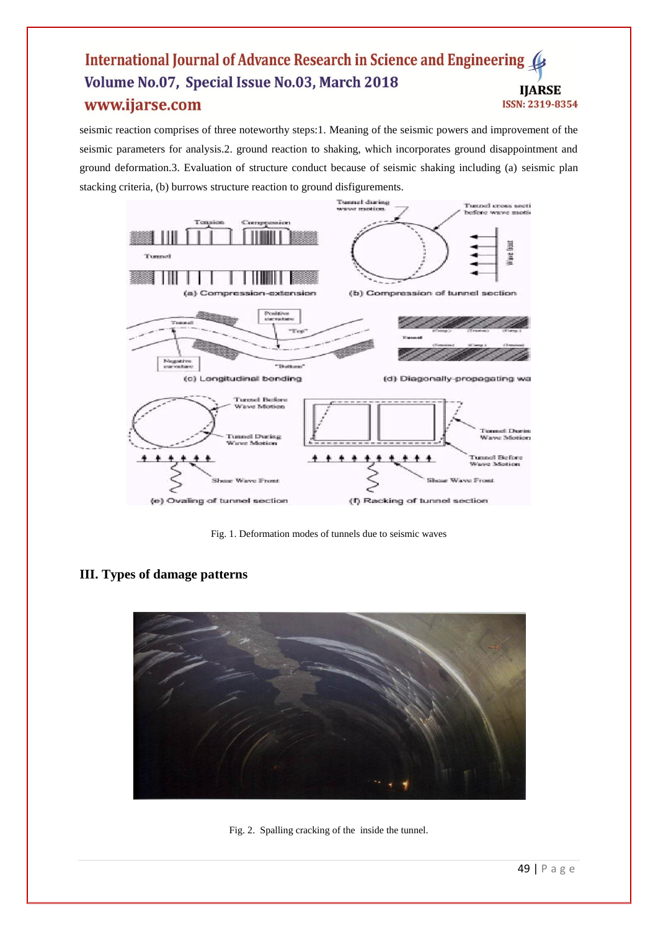seismic reaction comprises of three noteworthy steps:1. Meaning of the seismic powers and improvement of the seismic parameters for analysis.2. ground reaction to shaking, which incorporates ground disappointment and ground deformation.3. Evaluation of structure conduct because of seismic shaking including (a) seismic plan stacking criteria, (b) burrows structure reaction to ground disfigurements.



Fig. 1. Deformation modes of tunnels due to seismic waves

# **III. Types of damage patterns**



Fig. 2. Spalling cracking of the inside the tunnel.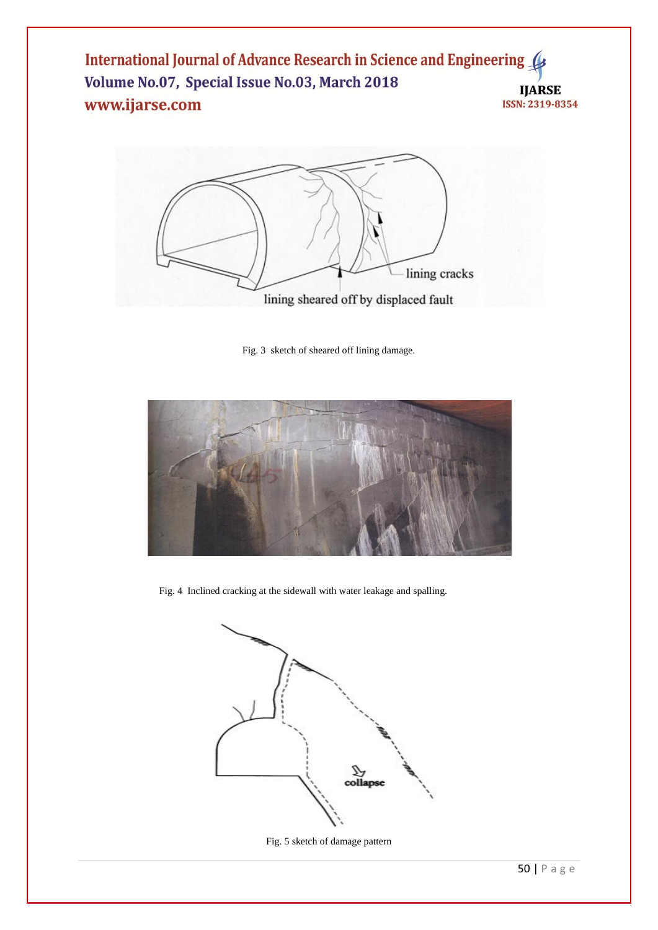

Fig. 3 sketch of sheared off lining damage.



Fig. 4 Inclined cracking at the sidewall with water leakage and spalling.



Fig. 5 sketch of damage pattern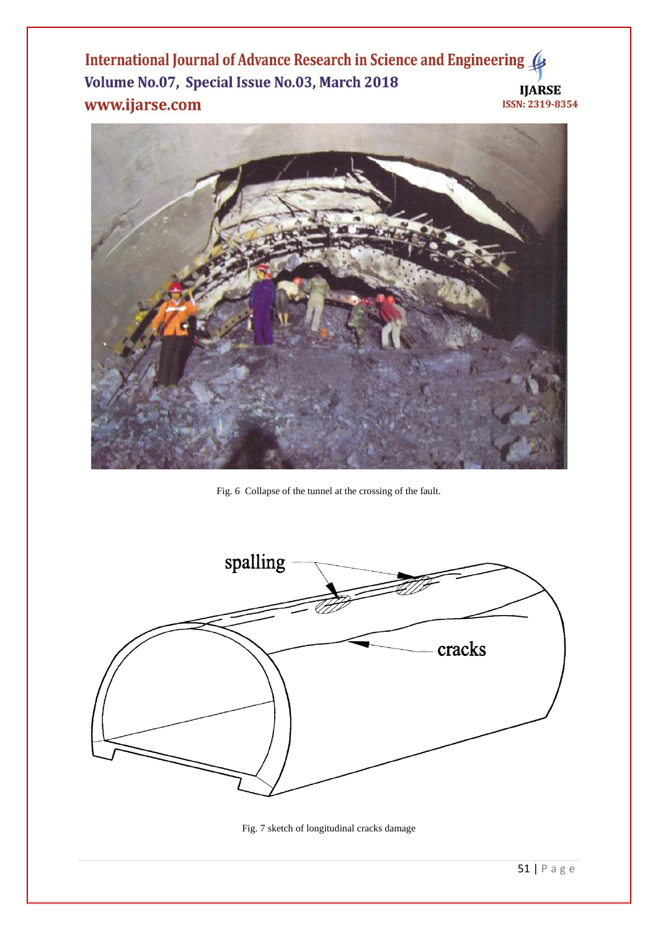

Fig. 6 Collapse of the tunnel at the crossing of the fault.

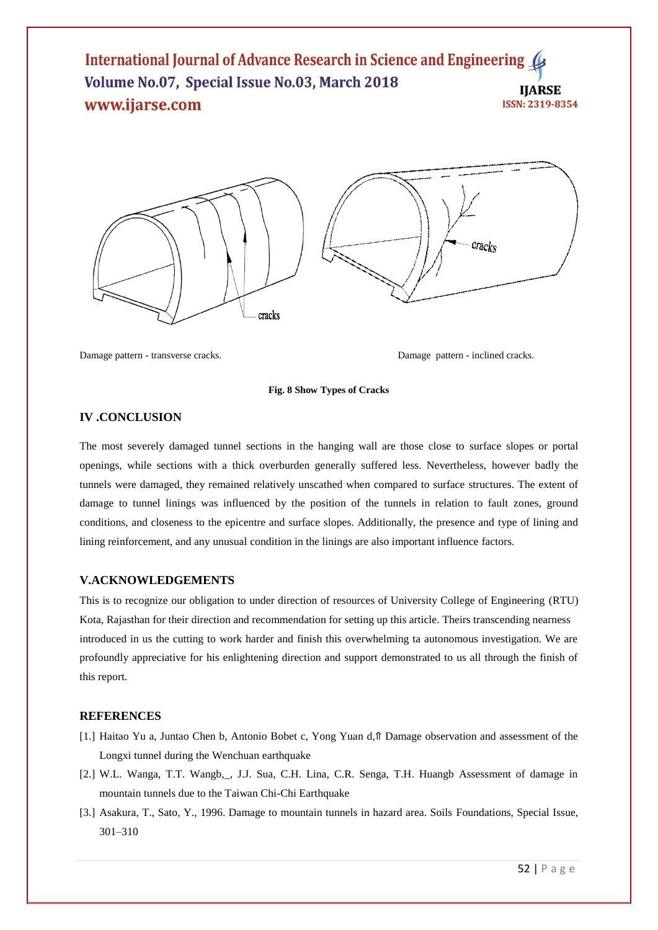

Damage pattern - transverse cracks. Damage pattern - inclined cracks.

**Fig. 8 Show Types of Cracks**

## **IV .CONCLUSION**

The most severely damaged tunnel sections in the hanging wall are those close to surface slopes or portal openings, while sections with a thick overburden generally suffered less. Nevertheless, however badly the tunnels were damaged, they remained relatively unscathed when compared to surface structures. The extent of damage to tunnel linings was influenced by the position of the tunnels in relation to fault zones, ground conditions, and closeness to the epicentre and surface slopes. Additionally, the presence and type of lining and lining reinforcement, and any unusual condition in the linings are also important influence factors.

#### **V.ACKNOWLEDGEMENTS**

This is to recognize our obligation to under direction of resources of University College of Engineering (RTU) Kota, Rajasthan for their direction and recommendation for setting up this article. Theirs transcending nearness introduced in us the cutting to work harder and finish this overwhelming ta autonomous investigation. We are profoundly appreciative for his enlightening direction and support demonstrated to us all through the finish of this report.

#### **REFERENCES**

- [1.] Haitao Yu a, Juntao Chen b, Antonio Bobet c, Yong Yuan d,⇑ Damage observation and assessment of the Longxi tunnel during the Wenchuan earthquake
- [2.] W.L. Wanga, T.T. Wangb,\_, J.J. Sua, C.H. Lina, C.R. Senga, T.H. Huangb Assessment of damage in mountain tunnels due to the Taiwan Chi-Chi Earthquake
- [3.] Asakura, T., Sato, Y., 1996. Damage to mountain tunnels in hazard area. Soils Foundations, Special Issue, 301–310